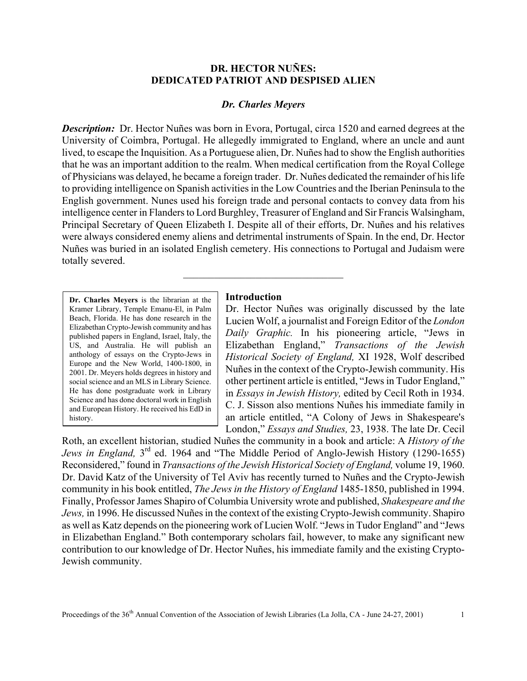## **DR. HECTOR NUÑES: DEDICATED PATRIOT AND DESPISED ALIEN**

### *Dr. Charles Meyers*

*Description:* Dr. Hector Nuñes was born in Evora, Portugal, circa 1520 and earned degrees at the University of Coimbra, Portugal. He allegedly immigrated to England, where an uncle and aunt lived, to escape the Inquisition. As a Portuguese alien, Dr. Nuñes had to show the English authorities that he was an important addition to the realm. When medical certification from the Royal College of Physicians was delayed, he became a foreign trader. Dr. Nuñes dedicated the remainder of his life to providing intelligence on Spanish activities in the Low Countries and the Iberian Peninsula to the English government. Nunes used his foreign trade and personal contacts to convey data from his intelligence center in Flanders to Lord Burghley, Treasurer of England and Sir Francis Walsingham, Principal Secretary of Queen Elizabeth I. Despite all of their efforts, Dr. Nuñes and his relatives were always considered enemy aliens and detrimental instruments of Spain. In the end, Dr. Hector Nuñes was buried in an isolated English cemetery. His connections to Portugal and Judaism were totally severed.

**Dr. Charles Meyers** is the librarian at the Kramer Library, Temple Emanu-El, in Palm Beach, Florida. He has done research in the Elizabethan Crypto-Jewish community and has published papers in England, Israel, Italy, the US, and Australia. He will publish an anthology of essays on the Crypto-Jews in Europe and the New World, 1400-1800, in 2001. Dr. Meyers holds degrees in history and social science and an MLS in Library Science. He has done postgraduate work in Library Science and has done doctoral work in English and European History. He received his EdD in history.

#### **Introduction**

 $\overline{\phantom{a}}$  , where  $\overline{\phantom{a}}$  , where  $\overline{\phantom{a}}$  , where  $\overline{\phantom{a}}$ 

Dr. Hector Nuñes was originally discussed by the late Lucien Wolf, a journalist and Foreign Editor of the *London Daily Graphic.* In his pioneering article, "Jews in Elizabethan England," *Transactions of the Jewish Historical Society of England,* XI 1928, Wolf described Nuñes in the context of the Crypto-Jewish community. His other pertinent article is entitled, "Jews in Tudor England," in *Essays in Jewish History,* edited by Cecil Roth in 1934. C. J. Sisson also mentions Nuñes his immediate family in an article entitled, "A Colony of Jews in Shakespeare's London," *Essays and Studies,* 23, 1938. The late Dr. Cecil

Roth, an excellent historian, studied Nuñes the community in a book and article: A *History of the Jews in England,* 3rd ed. 1964 and "The Middle Period of Anglo-Jewish History (1290-1655) Reconsidered," found in *Transactions of the Jewish Historical Society of England,* volume 19, 1960. Dr. David Katz of the University of Tel Aviv has recently turned to Nuñes and the Crypto-Jewish community in his book entitled, *The Jews in the History of England* 1485-1850, published in 1994. Finally, Professor James Shapiro of Columbia University wrote and published, *Shakespeare and the Jews,* in 1996. He discussed Nuñes in the context of the existing Crypto-Jewish community. Shapiro as well as Katz depends on the pioneering work of Lucien Wolf. "Jews in Tudor England" and "Jews in Elizabethan England." Both contemporary scholars fail, however, to make any significant new contribution to our knowledge of Dr. Hector Nuñes, his immediate family and the existing Crypto-Jewish community.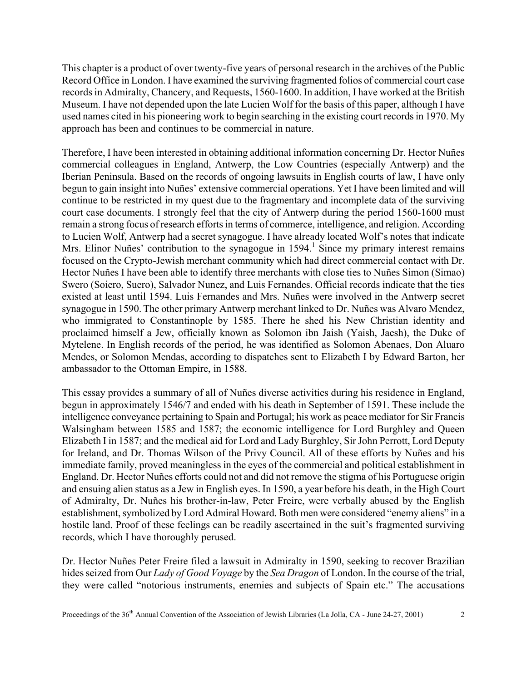This chapter is a product of over twenty-five years of personal research in the archives of the Public Record Office in London. I have examined the surviving fragmented folios of commercial court case records in Admiralty, Chancery, and Requests, 1560-1600. In addition, I have worked at the British Museum. I have not depended upon the late Lucien Wolf for the basis of this paper, although I have used names cited in his pioneering work to begin searching in the existing court records in 1970. My approach has been and continues to be commercial in nature.

Therefore, I have been interested in obtaining additional information concerning Dr. Hector Nuñes commercial colleagues in England, Antwerp, the Low Countries (especially Antwerp) and the Iberian Peninsula. Based on the records of ongoing lawsuits in English courts of law, I have only begun to gain insight into Nuñes' extensive commercial operations. Yet I have been limited and will continue to be restricted in my quest due to the fragmentary and incomplete data of the surviving court case documents. I strongly feel that the city of Antwerp during the period 1560-1600 must remain a strong focus of research efforts in terms of commerce, intelligence, and religion. According to Lucien Wolf, Antwerp had a secret synagogue. I have already located Wolf's notes that indicate Mrs. Elinor Nuñes' contribution to the synagogue in 1594.<sup>1</sup> Since my primary interest remains focused on the Crypto-Jewish merchant community which had direct commercial contact with Dr. Hector Nuñes I have been able to identify three merchants with close ties to Nuñes Simon (Simao) Swero (Soiero, Suero), Salvador Nunez, and Luis Fernandes. Official records indicate that the ties existed at least until 1594. Luis Fernandes and Mrs. Nuñes were involved in the Antwerp secret synagogue in 1590. The other primary Antwerp merchant linked to Dr. Nuñes was Alvaro Mendez, who immigrated to Constantinople by 1585. There he shed his New Christian identity and proclaimed himself a Jew, officially known as Solomon ibn Jaish (Yaish, Jaesh), the Duke of Mytelene. In English records of the period, he was identified as Solomon Abenaes, Don Aluaro Mendes, or Solomon Mendas, according to dispatches sent to Elizabeth I by Edward Barton, her ambassador to the Ottoman Empire, in 1588.

This essay provides a summary of all of Nuñes diverse activities during his residence in England, begun in approximately 1546/7 and ended with his death in September of 1591. These include the intelligence conveyance pertaining to Spain and Portugal; his work as peace mediator for Sir Francis Walsingham between 1585 and 1587; the economic intelligence for Lord Burghley and Queen Elizabeth I in 1587; and the medical aid for Lord and Lady Burghley, Sir John Perrott, Lord Deputy for Ireland, and Dr. Thomas Wilson of the Privy Council. All of these efforts by Nuñes and his immediate family, proved meaningless in the eyes of the commercial and political establishment in England. Dr. Hector Nuñes efforts could not and did not remove the stigma of his Portuguese origin and ensuing alien status as a Jew in English eyes. In 1590, a year before his death, in the High Court of Admiralty, Dr. Nuñes his brother-in-law, Peter Freire, were verbally abused by the English establishment, symbolized by Lord Admiral Howard. Both men were considered "enemy aliens" in a hostile land. Proof of these feelings can be readily ascertained in the suit's fragmented surviving records, which I have thoroughly perused.

Dr. Hector Nuñes Peter Freire filed a lawsuit in Admiralty in 1590, seeking to recover Brazilian hides seized from Our *Lady of Good Voyage* by the *Sea Dragon* of London. In the course of the trial, they were called "notorious instruments, enemies and subjects of Spain etc." The accusations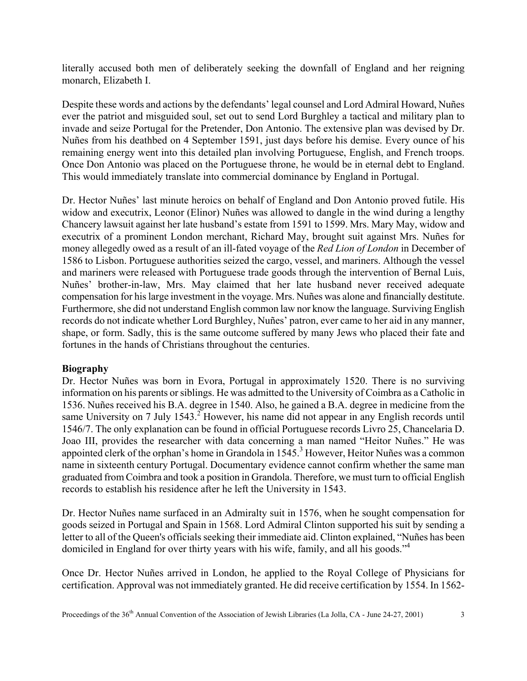literally accused both men of deliberately seeking the downfall of England and her reigning monarch, Elizabeth I.

Despite these words and actions by the defendants' legal counsel and Lord Admiral Howard, Nuñes ever the patriot and misguided soul, set out to send Lord Burghley a tactical and military plan to invade and seize Portugal for the Pretender, Don Antonio. The extensive plan was devised by Dr. Nuñes from his deathbed on 4 September 1591, just days before his demise. Every ounce of his remaining energy went into this detailed plan involving Portuguese, English, and French troops. Once Don Antonio was placed on the Portuguese throne, he would be in eternal debt to England. This would immediately translate into commercial dominance by England in Portugal.

Dr. Hector Nuñes' last minute heroics on behalf of England and Don Antonio proved futile. His widow and executrix, Leonor (Elinor) Nuñes was allowed to dangle in the wind during a lengthy Chancery lawsuit against her late husband's estate from 1591 to 1599. Mrs. Mary May, widow and executrix of a prominent London merchant, Richard May, brought suit against Mrs. Nuñes for money allegedly owed as a result of an ill-fated voyage of the *Red Lion of London* in December of 1586 to Lisbon. Portuguese authorities seized the cargo, vessel, and mariners. Although the vessel and mariners were released with Portuguese trade goods through the intervention of Bernal Luis, Nuñes' brother-in-law, Mrs. May claimed that her late husband never received adequate compensation for his large investment in the voyage. Mrs. Nuñes was alone and financially destitute. Furthermore, she did not understand English common law nor know the language. Surviving English records do not indicate whether Lord Burghley, Nuñes' patron, ever came to her aid in any manner, shape, or form. Sadly, this is the same outcome suffered by many Jews who placed their fate and fortunes in the hands of Christians throughout the centuries.

# **Biography**

Dr. Hector Nuñes was born in Evora, Portugal in approximately 1520. There is no surviving information on his parents or siblings. He was admitted to the University of Coimbra as a Catholic in 1536. Nuñes received his B.A. degree in 1540. Also, he gained a B.A. degree in medicine from the same University on 7 July  $1543.<sup>2</sup>$  However, his name did not appear in any English records until 1546/7. The only explanation can be found in official Portuguese records Livro 25, Chancelaria D. Joao III, provides the researcher with data concerning a man named "Heitor Nuñes." He was appointed clerk of the orphan's home in Grandola in  $1545$ .<sup>3</sup> However, Heitor Nuñes was a common name in sixteenth century Portugal. Documentary evidence cannot confirm whether the same man graduated from Coimbra and took a position in Grandola. Therefore, we must turn to official English records to establish his residence after he left the University in 1543.

Dr. Hector Nuñes name surfaced in an Admiralty suit in 1576, when he sought compensation for goods seized in Portugal and Spain in 1568. Lord Admiral Clinton supported his suit by sending a letter to all of the Queen's officials seeking their immediate aid. Clinton explained, "Nuñes has been domiciled in England for over thirty years with his wife, family, and all his goods."4

Once Dr. Hector Nuñes arrived in London, he applied to the Royal College of Physicians for certification. Approval was not immediately granted. He did receive certification by 1554. In 1562-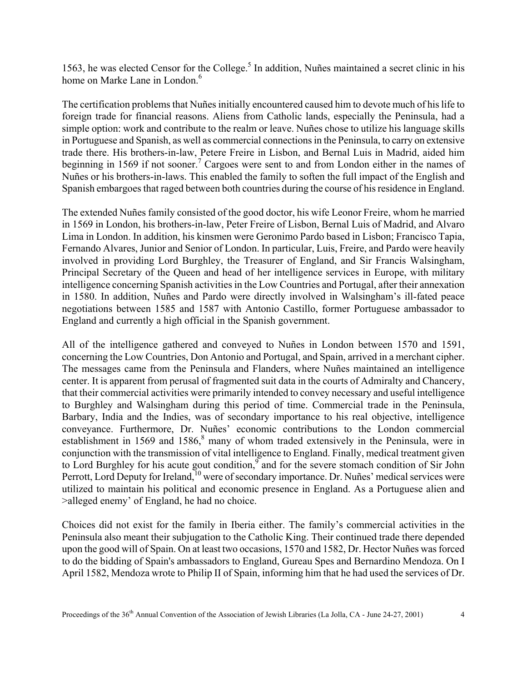1563, he was elected Censor for the College.<sup>5</sup> In addition, Nuñes maintained a secret clinic in his home on Marke Lane in London.<sup>6</sup>

The certification problems that Nuñes initially encountered caused him to devote much of his life to foreign trade for financial reasons. Aliens from Catholic lands, especially the Peninsula, had a simple option: work and contribute to the realm or leave. Nuñes chose to utilize his language skills in Portuguese and Spanish, as well as commercial connections in the Peninsula, to carry on extensive trade there. His brothers-in-law, Petere Freire in Lisbon, and Bernal Luis in Madrid, aided him beginning in 1569 if not sooner.<sup>7</sup> Cargoes were sent to and from London either in the names of Nuñes or his brothers-in-laws. This enabled the family to soften the full impact of the English and Spanish embargoes that raged between both countries during the course of his residence in England.

The extended Nuñes family consisted of the good doctor, his wife Leonor Freire, whom he married in 1569 in London, his brothers-in-law, Peter Freire of Lisbon, Bernal Luis of Madrid, and Alvaro Lima in London. In addition, his kinsmen were Geronimo Pardo based in Lisbon; Francisco Tapia, Fernando Alvares, Junior and Senior of London. In particular, Luis, Freire, and Pardo were heavily involved in providing Lord Burghley, the Treasurer of England, and Sir Francis Walsingham, Principal Secretary of the Queen and head of her intelligence services in Europe, with military intelligence concerning Spanish activities in the Low Countries and Portugal, after their annexation in 1580. In addition, Nuñes and Pardo were directly involved in Walsingham's ill-fated peace negotiations between 1585 and 1587 with Antonio Castillo, former Portuguese ambassador to England and currently a high official in the Spanish government.

All of the intelligence gathered and conveyed to Nuñes in London between 1570 and 1591, concerning the Low Countries, Don Antonio and Portugal, and Spain, arrived in a merchant cipher. The messages came from the Peninsula and Flanders, where Nuñes maintained an intelligence center. It is apparent from perusal of fragmented suit data in the courts of Admiralty and Chancery, that their commercial activities were primarily intended to convey necessary and useful intelligence to Burghley and Walsingham during this period of time. Commercial trade in the Peninsula, Barbary, India and the Indies, was of secondary importance to his real objective, intelligence conveyance. Furthermore, Dr. Nuñes' economic contributions to the London commercial establishment in 1569 and 1586, $8$  many of whom traded extensively in the Peninsula, were in conjunction with the transmission of vital intelligence to England. Finally, medical treatment given to Lord Burghley for his acute gout condition,  $\overline{9}$  and for the severe stomach condition of Sir John Perrott, Lord Deputy for Ireland,<sup>10</sup> were of secondary importance. Dr. Nuñes' medical services were utilized to maintain his political and economic presence in England. As a Portuguese alien and >alleged enemy' of England, he had no choice.

Choices did not exist for the family in Iberia either. The family's commercial activities in the Peninsula also meant their subjugation to the Catholic King. Their continued trade there depended upon the good will of Spain. On at least two occasions, 1570 and 1582, Dr. Hector Nuñes was forced to do the bidding of Spain's ambassadors to England, Gureau Spes and Bernardino Mendoza. On I April 1582, Mendoza wrote to Philip II of Spain, informing him that he had used the services of Dr.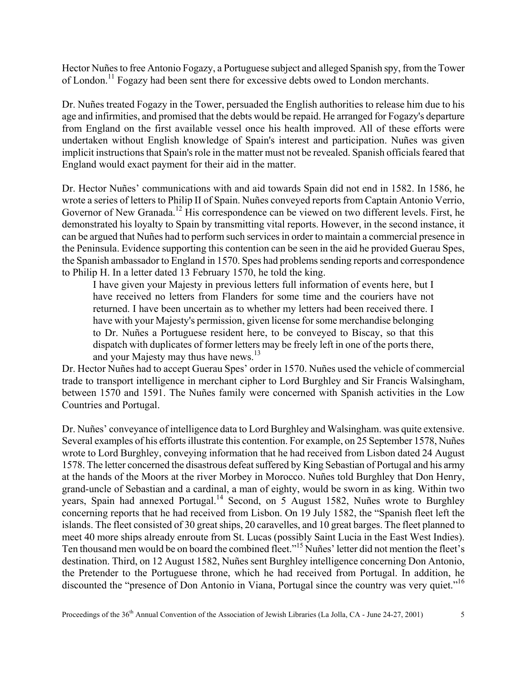Hector Nuñes to free Antonio Fogazy, a Portuguese subject and alleged Spanish spy, from the Tower of London.11 Fogazy had been sent there for excessive debts owed to London merchants.

Dr. Nuñes treated Fogazy in the Tower, persuaded the English authorities to release him due to his age and infirmities, and promised that the debts would be repaid. He arranged for Fogazy's departure from England on the first available vessel once his health improved. All of these efforts were undertaken without English knowledge of Spain's interest and participation. Nuñes was given implicit instructions that Spain's role in the matter must not be revealed. Spanish officials feared that England would exact payment for their aid in the matter.

Dr. Hector Nuñes' communications with and aid towards Spain did not end in 1582. In 1586, he wrote a series of letters to Philip II of Spain. Nuñes conveyed reports from Captain Antonio Verrio, Governor of New Granada.<sup>12</sup> His correspondence can be viewed on two different levels. First, he demonstrated his loyalty to Spain by transmitting vital reports. However, in the second instance, it can be argued that Nuñes had to perform such services in order to maintain a commercial presence in the Peninsula. Evidence supporting this contention can be seen in the aid he provided Guerau Spes, the Spanish ambassador to England in 1570. Spes had problems sending reports and correspondence to Philip H. In a letter dated 13 February 1570, he told the king.

I have given your Majesty in previous letters full information of events here, but I have received no letters from Flanders for some time and the couriers have not returned. I have been uncertain as to whether my letters had been received there. I have with your Majesty's permission, given license for some merchandise belonging to Dr. Nuñes a Portuguese resident here, to be conveyed to Biscay, so that this dispatch with duplicates of former letters may be freely left in one of the ports there, and your Majesty may thus have news.<sup>13</sup>

Dr. Hector Nuñes had to accept Guerau Spes' order in 1570. Nuñes used the vehicle of commercial trade to transport intelligence in merchant cipher to Lord Burghley and Sir Francis Walsingham, between 1570 and 1591. The Nuñes family were concerned with Spanish activities in the Low Countries and Portugal.

Dr. Nuñes' conveyance of intelligence data to Lord Burghley and Walsingham. was quite extensive. Several examples of his efforts illustrate this contention. For example, on 25 September 1578, Nuñes wrote to Lord Burghley, conveying information that he had received from Lisbon dated 24 August 1578. The letter concerned the disastrous defeat suffered by King Sebastian of Portugal and his army at the hands of the Moors at the river Morbey in Morocco. Nuñes told Burghley that Don Henry, grand-uncle of Sebastian and a cardinal, a man of eighty, would be sworn in as king. Within two years, Spain had annexed Portugal.<sup>14</sup> Second, on 5 August 1582, Nuñes wrote to Burghley concerning reports that he had received from Lisbon. On 19 July 1582, the "Spanish fleet left the islands. The fleet consisted of 30 great ships, 20 caravelles, and 10 great barges. The fleet planned to meet 40 more ships already enroute from St. Lucas (possibly Saint Lucia in the East West Indies). Ten thousand men would be on board the combined fleet."15 Nuñes' letter did not mention the fleet's destination. Third, on 12 August 1582, Nuñes sent Burghley intelligence concerning Don Antonio, the Pretender to the Portuguese throne, which he had received from Portugal. In addition, he discounted the "presence of Don Antonio in Viana, Portugal since the country was very quiet."<sup>16</sup>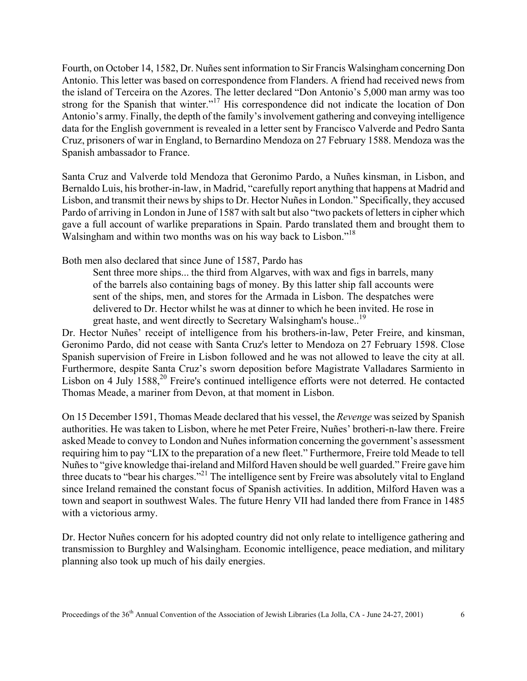Fourth, on October 14, 1582, Dr. Nuñes sent information to Sir Francis Walsingham concerning Don Antonio. This letter was based on correspondence from Flanders. A friend had received news from the island of Terceira on the Azores. The letter declared "Don Antonio's 5,000 man army was too strong for the Spanish that winter."<sup>17</sup> His correspondence did not indicate the location of Don Antonio's army. Finally, the depth of the family's involvement gathering and conveying intelligence data for the English government is revealed in a letter sent by Francisco Valverde and Pedro Santa Cruz, prisoners of war in England, to Bernardino Mendoza on 27 February 1588. Mendoza was the Spanish ambassador to France.

Santa Cruz and Valverde told Mendoza that Geronimo Pardo, a Nuñes kinsman, in Lisbon, and Bernaldo Luis, his brother-in-law, in Madrid, "carefully report anything that happens at Madrid and Lisbon, and transmit their news by ships to Dr. Hector Nuñes in London." Specifically, they accused Pardo of arriving in London in June of 1587 with salt but also "two packets of letters in cipher which gave a full account of warlike preparations in Spain. Pardo translated them and brought them to Walsingham and within two months was on his way back to Lisbon."<sup>18</sup>

Both men also declared that since June of 1587, Pardo has

Sent three more ships... the third from Algarves, with wax and figs in barrels, many of the barrels also containing bags of money. By this latter ship fall accounts were sent of the ships, men, and stores for the Armada in Lisbon. The despatches were delivered to Dr. Hector whilst he was at dinner to which he been invited. He rose in great haste, and went directly to Secretary Walsingham's house..<sup>19</sup>

Dr. Hector Nuñes' receipt of intelligence from his brothers-in-law, Peter Freire, and kinsman, Geronimo Pardo, did not cease with Santa Cruz's letter to Mendoza on 27 February 1598. Close Spanish supervision of Freire in Lisbon followed and he was not allowed to leave the city at all. Furthermore, despite Santa Cruz's sworn deposition before Magistrate Valladares Sarmiento in Lisbon on 4 July 1588,<sup>20</sup> Freire's continued intelligence efforts were not deterred. He contacted Thomas Meade, a mariner from Devon, at that moment in Lisbon.

On 15 December 1591, Thomas Meade declared that his vessel, the *Revenge* was seized by Spanish authorities. He was taken to Lisbon, where he met Peter Freire, Nuñes' brotheri-n-law there. Freire asked Meade to convey to London and Nuñes information concerning the government's assessment requiring him to pay "LIX to the preparation of a new fleet." Furthermore, Freire told Meade to tell Nuñes to "give knowledge thai-ireland and Milford Haven should be well guarded." Freire gave him three ducats to "bear his charges."21 The intelligence sent by Freire was absolutely vital to England since Ireland remained the constant focus of Spanish activities. In addition, Milford Haven was a town and seaport in southwest Wales. The future Henry VII had landed there from France in 1485 with a victorious army.

Dr. Hector Nuñes concern for his adopted country did not only relate to intelligence gathering and transmission to Burghley and Walsingham. Economic intelligence, peace mediation, and military planning also took up much of his daily energies.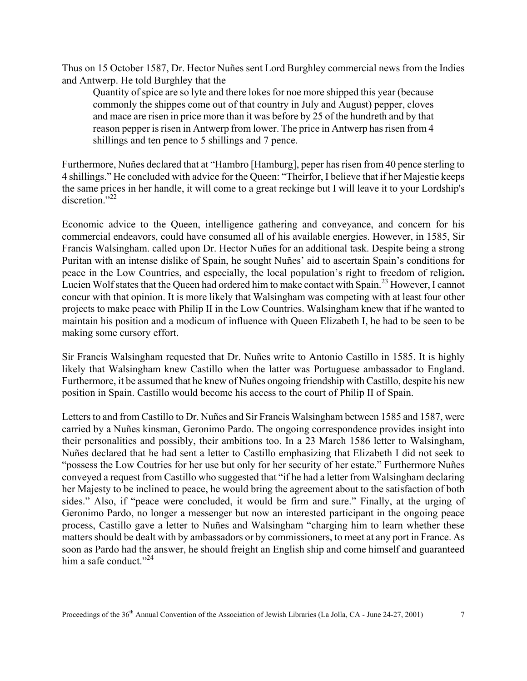Thus on 15 October 1587, Dr. Hector Nuñes sent Lord Burghley commercial news from the Indies and Antwerp. He told Burghley that the

Quantity of spice are so lyte and there lokes for noe more shipped this year (because commonly the shippes come out of that country in July and August) pepper, cloves and mace are risen in price more than it was before by 25 of the hundreth and by that reason pepper is risen in Antwerp from lower. The price in Antwerp has risen from 4 shillings and ten pence to 5 shillings and 7 pence.

Furthermore, Nuñes declared that at "Hambro [Hamburg], peper has risen from 40 pence sterling to 4 shillings." He concluded with advice for the Queen: "Theirfor, I believe that if her Majestie keeps the same prices in her handle, it will come to a great reckinge but I will leave it to your Lordship's  $discretion$ <sup>",22</sup>

Economic advice to the Queen, intelligence gathering and conveyance, and concern for his commercial endeavors, could have consumed all of his available energies. However, in 1585, Sir Francis Walsingham. called upon Dr. Hector Nuñes for an additional task. Despite being a strong Puritan with an intense dislike of Spain, he sought Nuñes' aid to ascertain Spain's conditions for peace in the Low Countries, and especially, the local population's right to freedom of religion**.**  Lucien Wolf states that the Queen had ordered him to make contact with Spain.23 However, I cannot concur with that opinion. It is more likely that Walsingham was competing with at least four other projects to make peace with Philip II in the Low Countries. Walsingham knew that if he wanted to maintain his position and a modicum of influence with Queen Elizabeth I, he had to be seen to be making some cursory effort.

Sir Francis Walsingham requested that Dr. Nuñes write to Antonio Castillo in 1585. It is highly likely that Walsingham knew Castillo when the latter was Portuguese ambassador to England. Furthermore, it be assumed that he knew of Nuñes ongoing friendship with Castillo, despite his new position in Spain. Castillo would become his access to the court of Philip II of Spain.

Letters to and from Castillo to Dr. Nuñes and Sir Francis Walsingham between 1585 and 1587, were carried by a Nuñes kinsman, Geronimo Pardo. The ongoing correspondence provides insight into their personalities and possibly, their ambitions too. In a 23 March 1586 letter to Walsingham, Nuñes declared that he had sent a letter to Castillo emphasizing that Elizabeth I did not seek to "possess the Low Coutries for her use but only for her security of her estate." Furthermore Nuñes conveyed a request from Castillo who suggested that "if he had a letter from Walsingham declaring her Majesty to be inclined to peace, he would bring the agreement about to the satisfaction of both sides." Also, if "peace were concluded, it would be firm and sure." Finally, at the urging of Geronimo Pardo, no longer a messenger but now an interested participant in the ongoing peace process, Castillo gave a letter to Nuñes and Walsingham "charging him to learn whether these matters should be dealt with by ambassadors or by commissioners, to meet at any port in France. As soon as Pardo had the answer, he should freight an English ship and come himself and guaranteed him a safe conduct."<sup>24</sup>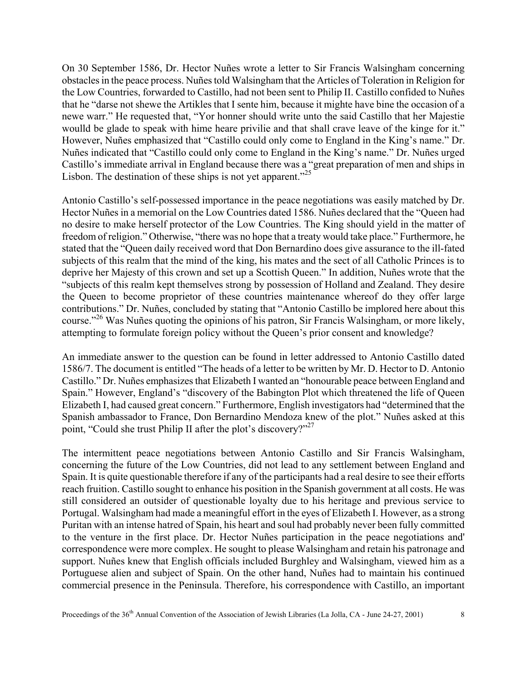On 30 September 1586, Dr. Hector Nuñes wrote a letter to Sir Francis Walsingham concerning obstacles in the peace process. Nuñes told Walsingham that the Articles of Toleration in Religion for the Low Countries, forwarded to Castillo, had not been sent to Philip II. Castillo confided to Nuñes that he "darse not shewe the Artikles that I sente him, because it mighte have bine the occasion of a newe warr." He requested that, "Yor honner should write unto the said Castillo that her Majestie woulld be glade to speak with hime heare privilie and that shall crave leave of the kinge for it." However, Nuñes emphasized that "Castillo could only come to England in the King's name." Dr. Nuñes indicated that "Castillo could only come to England in the King's name." Dr. Nuñes urged Castillo's immediate arrival in England because there was a "great preparation of men and ships in Lisbon. The destination of these ships is not yet apparent."<sup>25</sup>

Antonio Castillo's self-possessed importance in the peace negotiations was easily matched by Dr. Hector Nuñes in a memorial on the Low Countries dated 1586. Nuñes declared that the "Queen had no desire to make herself protector of the Low Countries. The King should yield in the matter of freedom of religion." Otherwise, "there was no hope that a treaty would take place." Furthermore, he stated that the "Queen daily received word that Don Bernardino does give assurance to the ill-fated subjects of this realm that the mind of the king, his mates and the sect of all Catholic Princes is to deprive her Majesty of this crown and set up a Scottish Queen." In addition, Nuñes wrote that the "subjects of this realm kept themselves strong by possession of Holland and Zealand. They desire the Queen to become proprietor of these countries maintenance whereof do they offer large contributions." Dr. Nuñes, concluded by stating that "Antonio Castillo be implored here about this course."26 Was Nuñes quoting the opinions of his patron, Sir Francis Walsingham, or more likely, attempting to formulate foreign policy without the Queen's prior consent and knowledge?

An immediate answer to the question can be found in letter addressed to Antonio Castillo dated 1586/7. The document is entitled "The heads of a letter to be written by Mr. D. Hector to D. Antonio Castillo." Dr. Nuñes emphasizes that Elizabeth I wanted an "honourable peace between England and Spain." However, England's "discovery of the Babington Plot which threatened the life of Queen Elizabeth I, had caused great concern." Furthermore, English investigators had "determined that the Spanish ambassador to France, Don Bernardino Mendoza knew of the plot." Nuñes asked at this point, "Could she trust Philip II after the plot's discovery?"<sup>27</sup>

The intermittent peace negotiations between Antonio Castillo and Sir Francis Walsingham, concerning the future of the Low Countries, did not lead to any settlement between England and Spain. It is quite questionable therefore if any of the participants had a real desire to see their efforts reach fruition. Castillo sought to enhance his position in the Spanish government at all costs. He was still considered an outsider of questionable loyalty due to his heritage and previous service to Portugal. Walsingham had made a meaningful effort in the eyes of Elizabeth I. However, as a strong Puritan with an intense hatred of Spain, his heart and soul had probably never been fully committed to the venture in the first place. Dr. Hector Nuñes participation in the peace negotiations and' correspondence were more complex. He sought to please Walsingham and retain his patronage and support. Nuñes knew that English officials included Burghley and Walsingham, viewed him as a Portuguese alien and subject of Spain. On the other hand, Nuñes had to maintain his continued commercial presence in the Peninsula. Therefore, his correspondence with Castillo, an important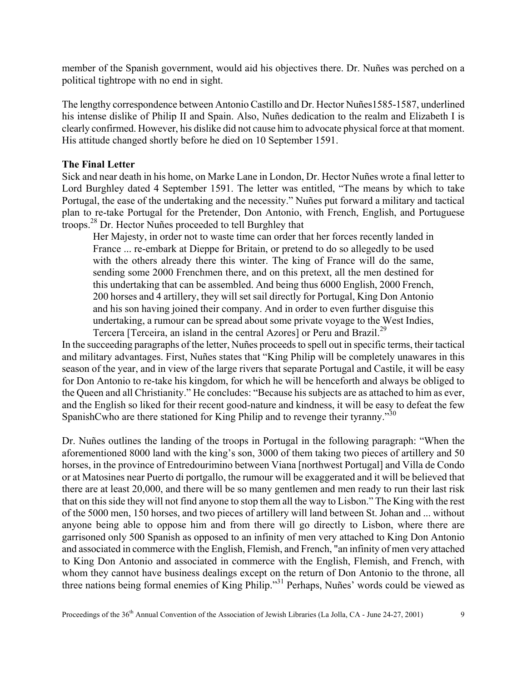member of the Spanish government, would aid his objectives there. Dr. Nuñes was perched on a political tightrope with no end in sight.

The lengthy correspondence between Antonio Castillo and Dr. Hector Nuñes1585-1587, underlined his intense dislike of Philip II and Spain. Also, Nuñes dedication to the realm and Elizabeth I is clearly confirmed. However, his dislike did not cause him to advocate physical force at that moment. His attitude changed shortly before he died on 10 September 1591.

## **The Final Letter**

Sick and near death in his home, on Marke Lane in London, Dr. Hector Nuñes wrote a final letter to Lord Burghley dated 4 September 1591. The letter was entitled, "The means by which to take Portugal, the ease of the undertaking and the necessity." Nuñes put forward a military and tactical plan to re-take Portugal for the Pretender, Don Antonio, with French, English, and Portuguese troops.28 Dr. Hector Nuñes proceeded to tell Burghley that

Her Majesty, in order not to waste time can order that her forces recently landed in France ... re-embark at Dieppe for Britain, or pretend to do so allegedly to be used with the others already there this winter. The king of France will do the same, sending some 2000 Frenchmen there, and on this pretext, all the men destined for this undertaking that can be assembled. And being thus 6000 English, 2000 French, 200 horses and 4 artillery, they will set sail directly for Portugal, King Don Antonio and his son having joined their company. And in order to even further disguise this undertaking, a rumour can be spread about some private voyage to the West Indies, Tercera [Terceira, an island in the central Azores] or Peru and Brazil.<sup>29</sup>

In the succeeding paragraphs of the letter, Nuñes proceeds to spell out in specific terms, their tactical and military advantages. First, Nuñes states that "King Philip will be completely unawares in this season of the year, and in view of the large rivers that separate Portugal and Castile, it will be easy for Don Antonio to re-take his kingdom, for which he will be henceforth and always be obliged to the Queen and all Christianity." He concludes: "Because his subjects are as attached to him as ever, and the English so liked for their recent good-nature and kindness, it will be easy to defeat the few SpanishCwho are there stationed for King Philip and to revenge their tyranny."<sup>30</sup>

Dr. Nuñes outlines the landing of the troops in Portugal in the following paragraph: "When the aforementioned 8000 land with the king's son, 3000 of them taking two pieces of artillery and 50 horses, in the province of Entredourimino between Viana [northwest Portugal] and Villa de Condo or at Matosines near Puerto di portgallo, the rumour will be exaggerated and it will be believed that there are at least 20,000, and there will be so many gentlemen and men ready to run their last risk that on this side they will not find anyone to stop them all the way to Lisbon." The King with the rest of the 5000 men, 150 horses, and two pieces of artillery will land between St. Johan and ... without anyone being able to oppose him and from there will go directly to Lisbon, where there are garrisoned only 500 Spanish as opposed to an infinity of men very attached to King Don Antonio and associated in commerce with the English, Flemish, and French, "an infinity of men very attached to King Don Antonio and associated in commerce with the English, Flemish, and French, with whom they cannot have business dealings except on the return of Don Antonio to the throne, all three nations being formal enemies of King Philip."31 Perhaps, Nuñes' words could be viewed as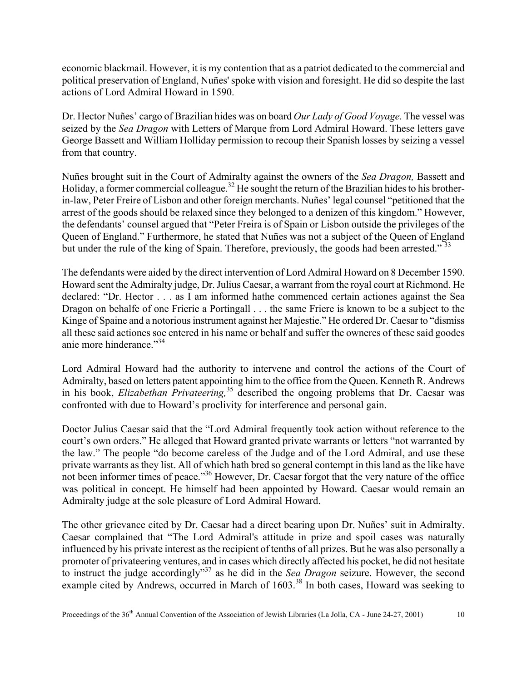economic blackmail. However, it is my contention that as a patriot dedicated to the commercial and political preservation of England, Nuñes' spoke with vision and foresight. He did so despite the last actions of Lord Admiral Howard in 1590.

Dr. Hector Nuñes' cargo of Brazilian hides was on board *Our Lady of Good Voyage.* The vessel was seized by the *Sea Dragon* with Letters of Marque from Lord Admiral Howard. These letters gave George Bassett and William Holliday permission to recoup their Spanish losses by seizing a vessel from that country.

Nuñes brought suit in the Court of Admiralty against the owners of the *Sea Dragon,* Bassett and Holiday, a former commercial colleague.<sup>32</sup> He sought the return of the Brazilian hides to his brotherin-law, Peter Freire of Lisbon and other foreign merchants. Nuñes' legal counsel "petitioned that the arrest of the goods should be relaxed since they belonged to a denizen of this kingdom." However, the defendants' counsel argued that "Peter Freira is of Spain or Lisbon outside the privileges of the Queen of England." Furthermore, he stated that Nuñes was not a subject of the Queen of England but under the rule of the king of Spain. Therefore, previously, the goods had been arrested."<sup>33</sup>

The defendants were aided by the direct intervention of Lord Admiral Howard on 8 December 1590. Howard sent the Admiralty judge, Dr. Julius Caesar, a warrant from the royal court at Richmond. He declared: "Dr. Hector . . . as I am informed hathe commenced certain actiones against the Sea Dragon on behalfe of one Frierie a Portingall . . . the same Friere is known to be a subject to the Kinge of Spaine and a notorious instrument against her Majestie." He ordered Dr. Caesar to "dismiss all these said actiones soe entered in his name or behalf and suffer the owneres of these said goodes anie more hinderance."<sup>34</sup>

Lord Admiral Howard had the authority to intervene and control the actions of the Court of Admiralty, based on letters patent appointing him to the office from the Queen. Kenneth R. Andrews in his book, *Elizabethan Privateering,*35 described the ongoing problems that Dr. Caesar was confronted with due to Howard's proclivity for interference and personal gain.

Doctor Julius Caesar said that the "Lord Admiral frequently took action without reference to the court's own orders." He alleged that Howard granted private warrants or letters "not warranted by the law." The people "do become careless of the Judge and of the Lord Admiral, and use these private warrants as they list. All of which hath bred so general contempt in this land as the like have not been informer times of peace."<sup>36</sup> However, Dr. Caesar forgot that the very nature of the office was political in concept. He himself had been appointed by Howard. Caesar would remain an Admiralty judge at the sole pleasure of Lord Admiral Howard.

The other grievance cited by Dr. Caesar had a direct bearing upon Dr. Nuñes' suit in Admiralty. Caesar complained that "The Lord Admiral's attitude in prize and spoil cases was naturally influenced by his private interest as the recipient of tenths of all prizes. But he was also personally a promoter of privateering ventures, and in cases which directly affected his pocket, he did not hesitate to instruct the judge accordingly"37 as he did in the *Sea Dragon* seizure. However, the second example cited by Andrews, occurred in March of 1603.<sup>38</sup> In both cases, Howard was seeking to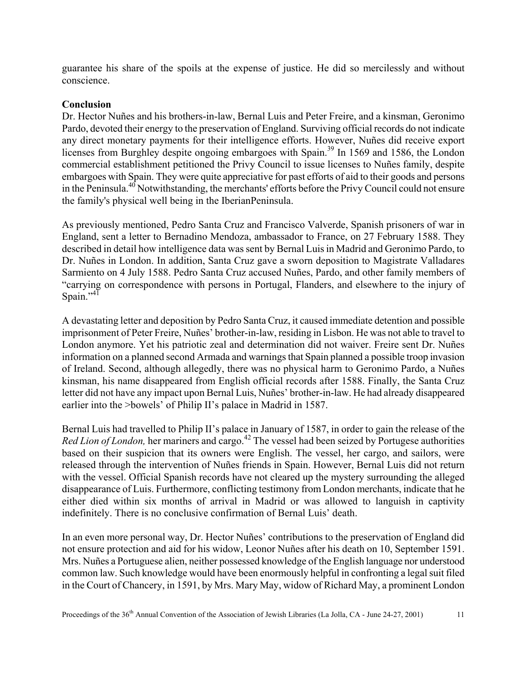guarantee his share of the spoils at the expense of justice. He did so mercilessly and without conscience.

# **Conclusion**

Dr. Hector Nuñes and his brothers-in-law, Bernal Luis and Peter Freire, and a kinsman, Geronimo Pardo, devoted their energy to the preservation of England. Surviving official records do not indicate any direct monetary payments for their intelligence efforts. However, Nuñes did receive export licenses from Burghley despite ongoing embargoes with Spain.<sup>39</sup> In 1569 and 1586, the London commercial establishment petitioned the Privy Council to issue licenses to Nuñes family, despite embargoes with Spain. They were quite appreciative for past efforts of aid to their goods and persons in the Peninsula.<sup>40</sup> Notwithstanding, the merchants' efforts before the Privy Council could not ensure the family's physical well being in the IberianPeninsula.

As previously mentioned, Pedro Santa Cruz and Francisco Valverde, Spanish prisoners of war in England, sent a letter to Bernadino Mendoza, ambassador to France, on 27 February 1588. They described in detail how intelligence data was sent by Bernal Luis in Madrid and Geronimo Pardo, to Dr. Nuñes in London. In addition, Santa Cruz gave a sworn deposition to Magistrate Valladares Sarmiento on 4 July 1588. Pedro Santa Cruz accused Nuñes, Pardo, and other family members of "carrying on correspondence with persons in Portugal, Flanders, and elsewhere to the injury of Spain." $41$ 

A devastating letter and deposition by Pedro Santa Cruz, it caused immediate detention and possible imprisonment of Peter Freire, Nuñes' brother-in-law, residing in Lisbon. He was not able to travel to London anymore. Yet his patriotic zeal and determination did not waiver. Freire sent Dr. Nuñes information on a planned second Armada and warnings that Spain planned a possible troop invasion of Ireland. Second, although allegedly, there was no physical harm to Geronimo Pardo, a Nuñes kinsman, his name disappeared from English official records after 1588. Finally, the Santa Cruz letter did not have any impact upon Bernal Luis, Nuñes' brother-in-law. He had already disappeared earlier into the >bowels' of Philip II's palace in Madrid in 1587.

Bernal Luis had travelled to Philip II's palace in January of 1587, in order to gain the release of the *Red Lion of London,* her mariners and cargo.<sup>42</sup> The vessel had been seized by Portugese authorities based on their suspicion that its owners were English. The vessel, her cargo, and sailors, were released through the intervention of Nuñes friends in Spain. However, Bernal Luis did not return with the vessel. Official Spanish records have not cleared up the mystery surrounding the alleged disappearance of Luis. Furthermore, conflicting testimony from London merchants, indicate that he either died within six months of arrival in Madrid or was allowed to languish in captivity indefinitely. There is no conclusive confirmation of Bernal Luis' death.

In an even more personal way, Dr. Hector Nuñes' contributions to the preservation of England did not ensure protection and aid for his widow, Leonor Nuñes after his death on 10, September 1591. Mrs. Nuñes a Portuguese alien, neither possessed knowledge of the English language nor understood common law. Such knowledge would have been enormously helpful in confronting a legal suit filed in the Court of Chancery, in 1591, by Mrs. Mary May, widow of Richard May, a prominent London